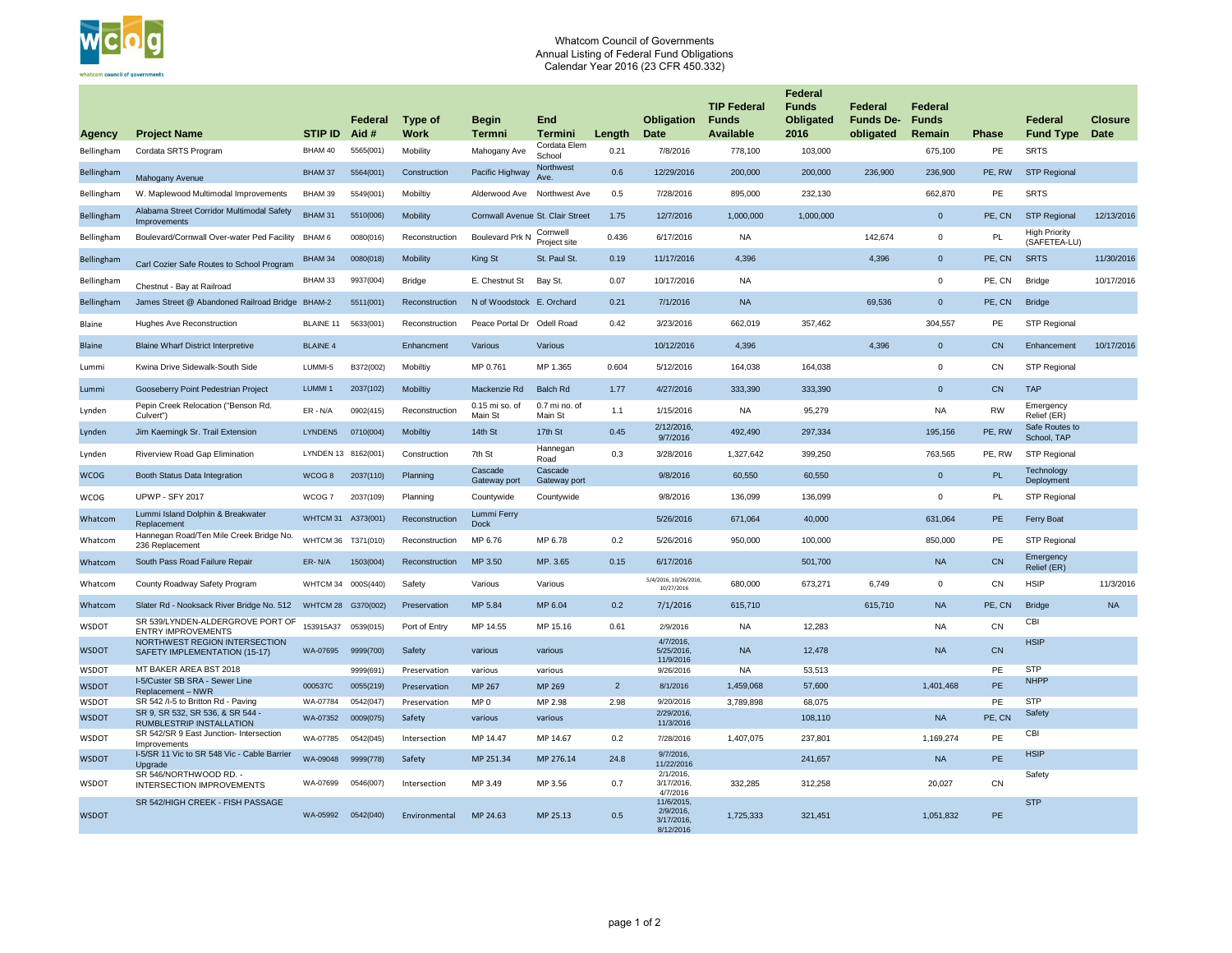|               |                                                                               |                     | <b>Federal</b> | <b>Type of</b>  | <b>Begin</b>                            | <b>End</b>                     |                | <b>Obligation</b>                                              | <b>TIP Federal</b><br><b>Funds</b> | <b>Federal</b><br><b>Funds</b><br><b>Obligated</b> | <b>Federal</b><br><b>Funds De-</b> | <b>Federal</b><br><b>Funds</b> |              | <b>Federal</b>                       | <b>Closure</b> |
|---------------|-------------------------------------------------------------------------------|---------------------|----------------|-----------------|-----------------------------------------|--------------------------------|----------------|----------------------------------------------------------------|------------------------------------|----------------------------------------------------|------------------------------------|--------------------------------|--------------|--------------------------------------|----------------|
| <b>Agency</b> | <b>Project Name</b>                                                           | <b>STIP ID</b>      | Aid #          | <b>Work</b>     | <b>Termni</b>                           | <b>Termini</b><br>Cordata Elem | Length         | <b>Date</b>                                                    | <b>Available</b>                   | 2016                                               | obligated                          | Remain                         | <b>Phase</b> | <b>Fund Type</b>                     | <b>Date</b>    |
| Bellingham    | Cordata SRTS Program                                                          | BHAM 40             | 5565(001)      | Mobility        | Mahogany Ave                            | School<br>Northwest            | 0.21           | 7/8/2016                                                       | 778,100                            | 103,000                                            |                                    | 675,100                        | PE           | <b>SRTS</b>                          |                |
| Bellingham    | Mahogany Avenue                                                               | BHAM 37             | 5564(001)      | Construction    | Pacific Highway                         | Ave.                           | 0.6            | 12/29/2016                                                     | 200,000                            | 200,000                                            | 236,900                            | 236,900                        | PE, RW       | <b>STP Regional</b>                  |                |
| Bellingham    | W. Maplewood Multimodal Improvements                                          | BHAM 39             | 5549(001)      | Mobiltiy        | Alderwood Ave                           | Northwest Ave                  | 0.5            | 7/28/2016                                                      | 895,000                            | 232,130                                            |                                    | 662,870                        | PE           | <b>SRTS</b>                          |                |
| Bellingham    | Alabama Street Corridor Multimodal Safety<br>Improvements                     | <b>BHAM 31</b>      | 5510(006)      | <b>Mobility</b> | <b>Cornwall Avenue St. Clair Street</b> |                                | 1.75           | 12/7/2016                                                      | 1,000,000                          | 1,000,000                                          |                                    | $\overline{0}$                 | PE, CN       | <b>STP Regional</b>                  | 12/13/2016     |
| Bellingham    | Boulevard/Cornwall Over-water Ped Facility                                    | BHAM 6              | 0080(016)      | Reconstruction  | <b>Boulevard Prk N</b>                  | Cornwell<br>Project site       | 0.436          | 6/17/2016                                                      | <b>NA</b>                          |                                                    | 142,674                            | $\overline{0}$                 | PL           | <b>High Priority</b><br>(SAFETEA-LU) |                |
| Bellingham    | Carl Cozier Safe Routes to School Program                                     | <b>BHAM 34</b>      | 0080(018)      | <b>Mobility</b> | <b>King St</b>                          | St. Paul St.                   | 0.19           | 11/17/2016                                                     | 4,396                              |                                                    | 4,396                              | $\overline{0}$                 | PE, CN       | <b>SRTS</b>                          | 11/30/2016     |
| Bellingham    | Chestnut - Bay at Railroad                                                    | BHAM 33             | 9937(004)      | <b>Bridge</b>   | E. Chestnut St                          | Bay St.                        | 0.07           | 10/17/2016                                                     | <b>NA</b>                          |                                                    |                                    | $\overline{0}$                 | PE, CN       | <b>Bridge</b>                        | 10/17/2016     |
| Bellingham    | James Street @ Abandoned Railroad Bridge BHAM-2                               |                     | 5511(001)      | Reconstruction  | N of Woodstock E. Orchard               |                                | 0.21           | 7/1/2016                                                       | <b>NA</b>                          |                                                    | 69,536                             | $\overline{0}$                 | PE, CN       | <b>Bridge</b>                        |                |
| Blaine        | <b>Hughes Ave Reconstruction</b>                                              | <b>BLAINE 11</b>    | 5633(001)      | Reconstruction  | Peace Portal Dr                         | Odell Road                     | 0.42           | 3/23/2016                                                      | 662,019                            | 357,462                                            |                                    | 304,557                        | <b>PE</b>    | <b>STP Regional</b>                  |                |
| <b>Blaine</b> | <b>Blaine Wharf District Interpretive</b>                                     | <b>BLAINE 4</b>     |                | Enhancment      | Various                                 | Various                        |                | 10/12/2016                                                     | 4,396                              |                                                    | 4,396                              | $\overline{0}$                 | <b>CN</b>    | Enhancement                          | 10/17/2016     |
| Lummi         | Kwina Drive Sidewalk-South Side                                               | LUMMI-5             | B372(002)      | Mobiltiy        | MP 0.761                                | MP 1.365                       | 0.604          | 5/12/2016                                                      | 164,038                            | 164,038                                            |                                    | $\overline{0}$                 | CN           | <b>STP Regional</b>                  |                |
| Lummi         | Gooseberry Point Pedestrian Project                                           | <b>LUMMI1</b>       | 2037(102)      | <b>Mobiltiy</b> | Mackenzie Rd                            | <b>Balch Rd</b>                | 1.77           | 4/27/2016                                                      | 333,390                            | 333,390                                            |                                    | $\overline{0}$                 | CN           | <b>TAP</b>                           |                |
| Lynden        | Pepin Creek Relocation ("Benson Rd.<br>Culvert")                              | $ER - N/A$          | 0902(415)      | Reconstruction  | 0.15 mi so. of<br>Main St               | 0.7 mi no. of<br>Main St       | 1.1            | 1/15/2016                                                      | <b>NA</b>                          | 95,279                                             |                                    | <b>NA</b>                      | <b>RW</b>    | Emergency<br>Relief (ER)             |                |
| Lynden        | Jim Kaemingk Sr. Trail Extension                                              | LYNDEN5             | 0710(004)      | <b>Mobiltiy</b> | 14th St                                 | 17th St                        | 0.45           | 2/12/2016,<br>9/7/2016                                         | 492,490                            | 297,334                                            |                                    | 195,156                        | PE, RW       | Safe Routes to<br>School, TAP        |                |
| Lynden        | <b>Riverview Road Gap Elimination</b>                                         | LYNDEN 13 8162(001) |                | Construction    | 7th St                                  | Hannegan<br>Road               | 0.3            | 3/28/2016                                                      | 1,327,642                          | 399,250                                            |                                    | 763,565                        | PE, RW       | <b>STP Regional</b>                  |                |
| <b>WCOG</b>   | Booth Status Data Integration                                                 | WCOG8               | 2037(110)      | Planning        | Cascade                                 | Cascade<br>Gateway port        |                | 9/8/2016                                                       | 60,550                             | 60,550                                             |                                    | $\overline{0}$                 | <b>PL</b>    | Technology<br>Deployment             |                |
| <b>WCOG</b>   | <b>UPWP - SFY 2017</b>                                                        | WCOG 7              | 2037(109)      | Planning        | Gateway port<br>Countywide              | Countywide                     |                | 9/8/2016                                                       | 136,099                            | 136,099                                            |                                    | $\overline{0}$                 | <b>PL</b>    | <b>STP Regional</b>                  |                |
| Whatcom       | Lummi Island Dolphin & Breakwater                                             | WHTCM 31 A373(001)  |                | Reconstruction  | Lummi Ferry                             |                                |                | 5/26/2016                                                      | 671,064                            | 40,000                                             |                                    | 631,064                        | PE           | Ferry Boat                           |                |
| Whatcom       | Replacement<br>Hannegan Road/Ten Mile Creek Bridge No.                        | WHTCM 36 T371(010)  |                | Reconstruction  | <b>Dock</b><br>MP 6.76                  | MP 6.78                        | 0.2            | 5/26/2016                                                      | 950,000                            | 100,000                                            |                                    | 850,000                        | <b>PE</b>    | <b>STP Regional</b>                  |                |
| Whatcom       | 236 Replacement<br>South Pass Road Failure Repair                             | ER-N/A              | 1503(004)      | Reconstruction  | MP 3.50                                 | MP. 3.65                       | 0.15           | 6/17/2016                                                      |                                    | 501,700                                            |                                    | <b>NA</b>                      | CN           | Emergency                            |                |
|               |                                                                               |                     |                |                 |                                         |                                |                | 5/4/2016, 10/26/2016,                                          |                                    |                                                    |                                    |                                | CN           | Relief (ER)<br><b>HSIP</b>           |                |
| Whatcom       | County Roadway Safety Program                                                 | WHTCM 34 000S(440)  |                | Safety          | Various                                 | Various                        |                | 10/27/2016                                                     | 680,000                            | 673,271                                            | 6,749                              | $\overline{0}$                 |              |                                      | 11/3/2016      |
| Whatcom       | Slater Rd - Nooksack River Bridge No. 512<br>SR 539/LYNDEN-ALDERGROVE PORT OF | WHTCM 28            | G370(002)      | Preservation    | MP 5.84                                 | MP 6.04                        | 0.2            | 7/1/2016                                                       | 615,710                            |                                                    | 615,710                            | <b>NA</b>                      | PE, CN       | <b>Bridge</b><br><b>CBI</b>          | <b>NA</b>      |
| <b>WSDOT</b>  | <b>ENTRY IMPROVEMENTS</b><br>NORTHWEST REGION INTERSECTION                    | 153915A37           | 0539(015)      | Port of Entry   | MP 14.55                                | MP 15.16                       | 0.61           | 2/9/2016<br>$4/7/2016$ ,                                       | <b>NA</b>                          | 12,283                                             |                                    | <b>NA</b>                      | CN           | <b>HSIP</b>                          |                |
| <b>WSDOT</b>  | SAFETY IMPLEMENTATION (15-17)                                                 | WA-07695            | 9999(700)      | Safety          | various                                 | various                        |                | 5/25/2016,<br>11/9/2016                                        | <b>NA</b>                          | 12,478                                             |                                    | <b>NA</b>                      | CN           |                                      |                |
| <b>WSDOT</b>  | MT BAKER AREA BST 2018                                                        |                     | 9999(691)      | Preservation    | various                                 | various                        |                | 9/26/2016                                                      | <b>NA</b>                          | 53,513                                             |                                    |                                | PE           | <b>STP</b>                           |                |
| <b>WSDOT</b>  | I-5/Custer SB SRA - Sewer Line<br>Replacement - NWR                           | 000537C             | 0055(219)      | Preservation    | MP 267                                  | MP 269                         | 2 <sup>2</sup> | 8/1/2016                                                       | 1,459,068                          | 57,600                                             |                                    | 1,401,468                      | PE           | <b>NHPP</b>                          |                |
| <b>WSDOT</b>  | SR 542 /I-5 to Britton Rd - Paving                                            | WA-07784            | 0542(047)      | Preservation    | MP <sub>0</sub>                         | MP 2.98                        | 2.98           | 9/20/2016                                                      | 3,789,898                          | 68,075                                             |                                    |                                | PE           | <b>STP</b>                           |                |
| <b>WSDOT</b>  | SR 9, SR 532, SR 536, & SR 544 -<br>RUMBLESTRIP INSTALLATION                  | WA-07352            | 0009(075)      | Safety          | various                                 | various                        |                | 2/29/2016,<br>11/3/2016                                        |                                    | 108,110                                            |                                    | <b>NA</b>                      | PE, CN       | Safety                               |                |
| <b>WSDOT</b>  | SR 542/SR 9 East Junction- Intersection<br>Improvements                       | WA-07785            | 0542(045)      | Intersection    | MP 14.47                                | MP 14.67                       | 0.2            | 7/28/2016                                                      | 1,407,075                          | 237,801                                            |                                    | 1,169,274                      | PE           | <b>CBI</b>                           |                |
| <b>WSDOT</b>  | I-5/SR 11 Vic to SR 548 Vic - Cable Barrier<br>Upgrade                        | WA-09048            | 9999(778)      | Safety          | MP 251.34                               | MP 276.14                      | 24.8           | 9/7/2016,<br>11/22/2016                                        |                                    | 241,657                                            |                                    | <b>NA</b>                      | <b>PE</b>    | <b>HSIP</b>                          |                |
| <b>WSDOT</b>  | SR 546/NORTHWOOD RD. -<br><b>INTERSECTION IMPROVEMENTS</b>                    | WA-07699            | 0546(007)      | Intersection    | MP 3.49                                 | MP 3.56                        | 0.7            | $2/1/2016$ ,<br>$3/17/2016$ ,                                  | 332,285                            | 312,258                                            |                                    | 20,027                         | CN           | Safety                               |                |
| <b>WSDOT</b>  | SR 542/HIGH CREEK - FISH PASSAGE                                              | WA-05992            | 0542(040)      | Environmental   | MP 24.63                                | MP 25.13                       | 0.5            | 4/7/2016<br>11/6/2015,<br>2/9/2016,<br>3/17/2016,<br>8/12/2016 | 1,725,333                          | 321,451                                            |                                    | 1,051,832                      | PE           | <b>STP</b>                           |                |